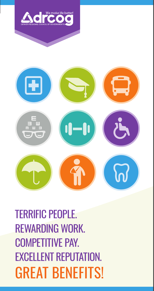



TERRIFIC PEOPLE. REWARDING WORK. COMPETITIVE PAY. EXCELLENT REPUTATION. GREAT BENEFITS!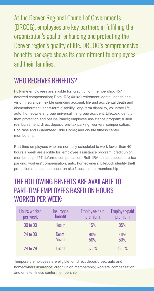At the Denver Regional Council of Governments (DRCOG), employees are key partners in fulfilling the organization's goal of enhancing and protecting the Denver region's quality of life. DRCOG's comprehensive benefits package shows its commitment to employees and their families.

# WHO RECEIVES BENEFITS?

Full-time employees are eligible for: credit union membership; 457 deferred compensation; Roth IRA; 401(a) retirement; dental, health and vision insurance; flexible spending account; life and accidental death and dismemberment, short-term disability, long-term disability, voluntary life, auto, homeowners, group universal life, group accident, LifeLock identity theft protection and pet insurance; employee assistance program; tuition reimbursement; direct deposit; pre-tax parking; workers' compensation; EcoPass and Guaranteed Ride Home; and on-site fitness center membership.

Part-time employees who are normally scheduled to work fewer than 40 hours a week are eligible for: employee assistance program; credit union membership; 457 deferred compensation; Roth IRA; direct deposit; pre-tax parking; workers' compensation; auto, homeowners, LifeLock identity theft protection and pet insurance; on-site fitness center membership.

# THE FOLLOWING BENFFITS ARE AVAILABLE TO PART-TIME EMPLOYEES BASED ON HOURS WORKED PER WEEK:

| <b>Hours worked</b> | Insurance     | Employee-paid | <b>Employer-paid</b> |
|---------------------|---------------|---------------|----------------------|
| per week            | benefit       | premium       | premium              |
| 30 to 39            | <b>Health</b> | 15%           | 85%                  |
| 24 to 39            | <b>Dental</b> | 60%           | 40%                  |
|                     | <b>Vision</b> | 50%           | 50%                  |
| 24 to 29            | <b>Health</b> | 57.5%         | 42.5%                |

Temporary employees are eligible for: direct deposit; pet, auto and homeowners insurance; credit union membership; workers' compensation; and on-site fitness center membership.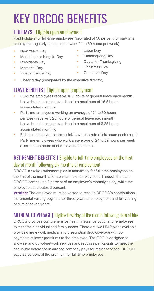# KEY DRCOG BENEFITS

#### HOLIDAYS | Eligible upon employment

Paid holidays for full-time employees (pro-rated at 50 percent for part-time employees regularly scheduled to work 24 to 39 hours per week)

- New Year's Day
- Martin Luther King Jr. Day
- Presidents Day
- Memorial Day
- Independence Day
- Labor Dav
- Thanksgiving Day
- **Day after Thanksgiving**
- Christmas Eve
- Christmas Day
- Floating day (designated by the executive director)

# LEAVE BENEFITS | Eligible upon employment

- Full-time employees receive 10.5 hours of general leave each month. Leave hours increase over time to a maximum of 16.5 hours accumulated monthly.
- Part-time employees working an average of 24 to 39 hours per week receive 5.25 hours of general leave each month. Leave hours increase over time to a maximum of 8.25 hours accumulated monthly.
- Full-time employees accrue sick leave at a rate of six hours each month. Part-time employees who work an average of 24 to 39 hours per week accrue three hours of sick leave each month.

# RETIREMENT BENEFITS | Eligible to full-time employees on the first day of month following six months of employment

DRCOG's 401(a) retirement plan is mandatory for full-time employees on the first of the month after six months of employment. Through the plan, DRCOG contributes 9 percent of an employee's monthly salary, while the employee contributes 3 percent.

**Vesting:** The employee must be vested to receive DRCOG's contributions. Incremental vesting begins after three years of employment and full vesting occurs at seven years.

# MEDICAL COVERAGE |Eligible first day of the month following date of hire

DRCOG provides comprehensive health insurance options for employees to meet their individual and family needs. There are two HMO plans available providing in-network medical and prescription drug coverage with copayments at lower premiums to the employee. The PPO is designed to allow in- and out-of-network services and requires participants to meet the deductible before the insurance company pays for major services. DRCOG pays 85 percent of the premium for full-time employees.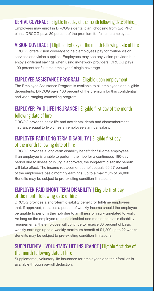#### DENTAL COVERAGE I Eligible first day of the month following date of hire

Employees may enroll in DRCOG's dental plan, choosing from two PPO plans. DRCOG pays 80 percent of the premium for full-time employees.

#### VISION COVERAGE | Eligible first day of the month following date of hire

DRCOG offers vision coverage to help employees pay for routine vision services and vision supplies. Employees may see any vision provider, but enjoy significant savings when using in-network providers. DRCOG pays 100 percent for full-time employees' single coverage.

#### EMPLOYEE ASSISTANCE PROGRAM | Eligible upon employment

The Employee Assistance Program is available to all employees and eligible dependents. DRCOG pays 100 percent of the premium for this confidential and wide-ranging counseling program.

## EMPLOYER-PAID LIFE INSURANCE |Eligible first day of the month following date of hire

DRCOG provides basic life and accidental death and dismemberment insurance equal to two times an employee's annual salary.

#### EMPLOYER-PAID LONG-TERM DISABILITY | Eligible first day of the month following date of hire

DRCOG provides a long-term disability benefit for full-time employees. If an employee is unable to perform their job for a continuous 180-day period due to illness or injury, if approved, the long-term disability benefit will take effect. The income replacement benefit equals 66.67 percent of the employee's basic monthly earnings, up to a maximum of \$6,000. Benefits may be subject to pre-existing condition limitations.

#### EMPLOYER-PAID SHORT-TERM DISABILITY |Eligible first day of the month following date of hire

DRCOG provides a short-term disability benefit for full-time employees that, if approved, replaces a portion of weekly income should the employee be unable to perform their job due to an illness or injury unrelated to work. As long as the employee remains disabled and meets the plan's disability requirements, the employee will continue to receive 60 percent of basic weekly earnings up to a weekly maximum benefit of \$1,200 up to 22 weeks. Benefits may be subject to pre-existing condition limitations.

#### SUPPLEMENTAL, VOLUNTARY LIFE INSURANCE |Eligible first day of the month following date of hire

Supplemental, voluntary life insurance for employees and their families is available through payroll deduction.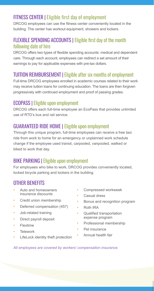# FITNESS CENTER | Eligible first day of employment

DRCOG employees can use the fitness center conveniently located in the building. The center has workout equipment, showers and lockers.

#### FLEXIBLE SPENDING ACCOUNTS | Eligible first day of the month following date of hire

DRCOG offers two types of flexible spending accounts: medical and dependent care. Through each account, employees can redirect a set amount of their earnings to pay for applicable expenses with pre-tax dollars.

# TUITION REIMBURSEMENT |Eligible after six months of employment

Full-time DRCOG employees enrolled in academic courses related to their work may receive tuition loans for continuing education. The loans are then forgiven progressively with continued employment and proof of passing grades.

#### ECOPASS |Eligible upon employment

DRCOG offers each full-time employee an EcoPass that provides unlimited use of RTD's bus and rail service.

### GUARANTEED RIDE HOME | Eligible upon employment

Through this unique program, full-time employees can receive a free taxi ride from work to home for an emergency or unplanned work schedule change if the employee used transit, carpooled, vanpooled, walked or biked to work that day.

# BIKE PARKING |Eligible upon employment

For employees who bike to work, DRCOG provides conveniently located, locked bicycle parking and lockers in the building.

# OTHER BENEFITS

- Auto and homeowners insurance discounts
- Credit union membership
- Deferred compensation (457)
- Job-related training
- Direct payroll deposit
- Flextime
- Telework
- LifeLock identity theft protection
- Compressed workweek
- Casual dress
- Bonus and recognition program
- Roth IRA
- Qualified transportation expense program
- Professional membership
- Pet insurance
- Annual health fair

*All employees are covered by workers' compensation insurance.*